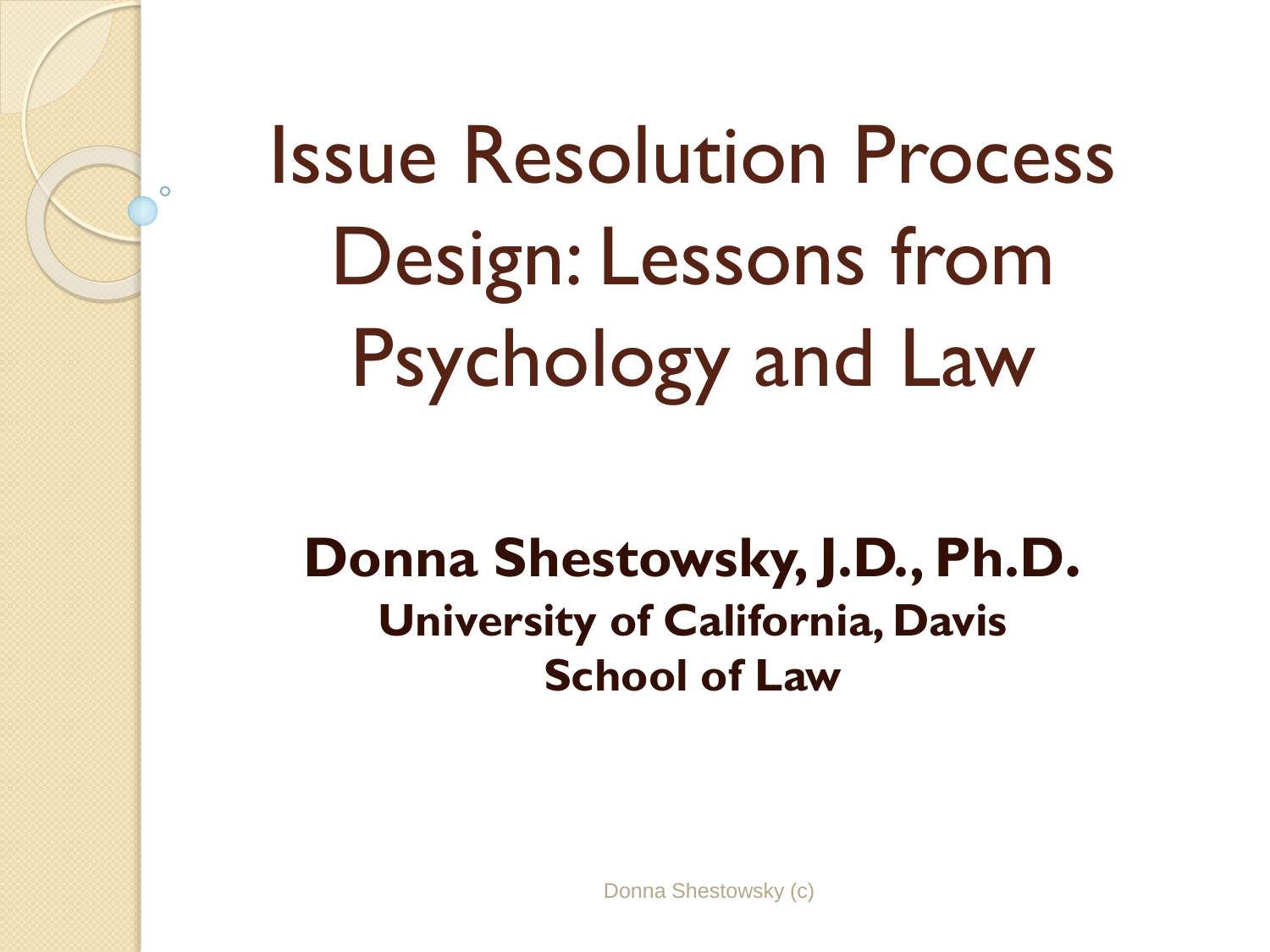# Issue Resolution Process Design: Lessons from Psychology and Law

#### **Donna Shestowsky, J.D., Ph.D. University of California, Davis School of Law**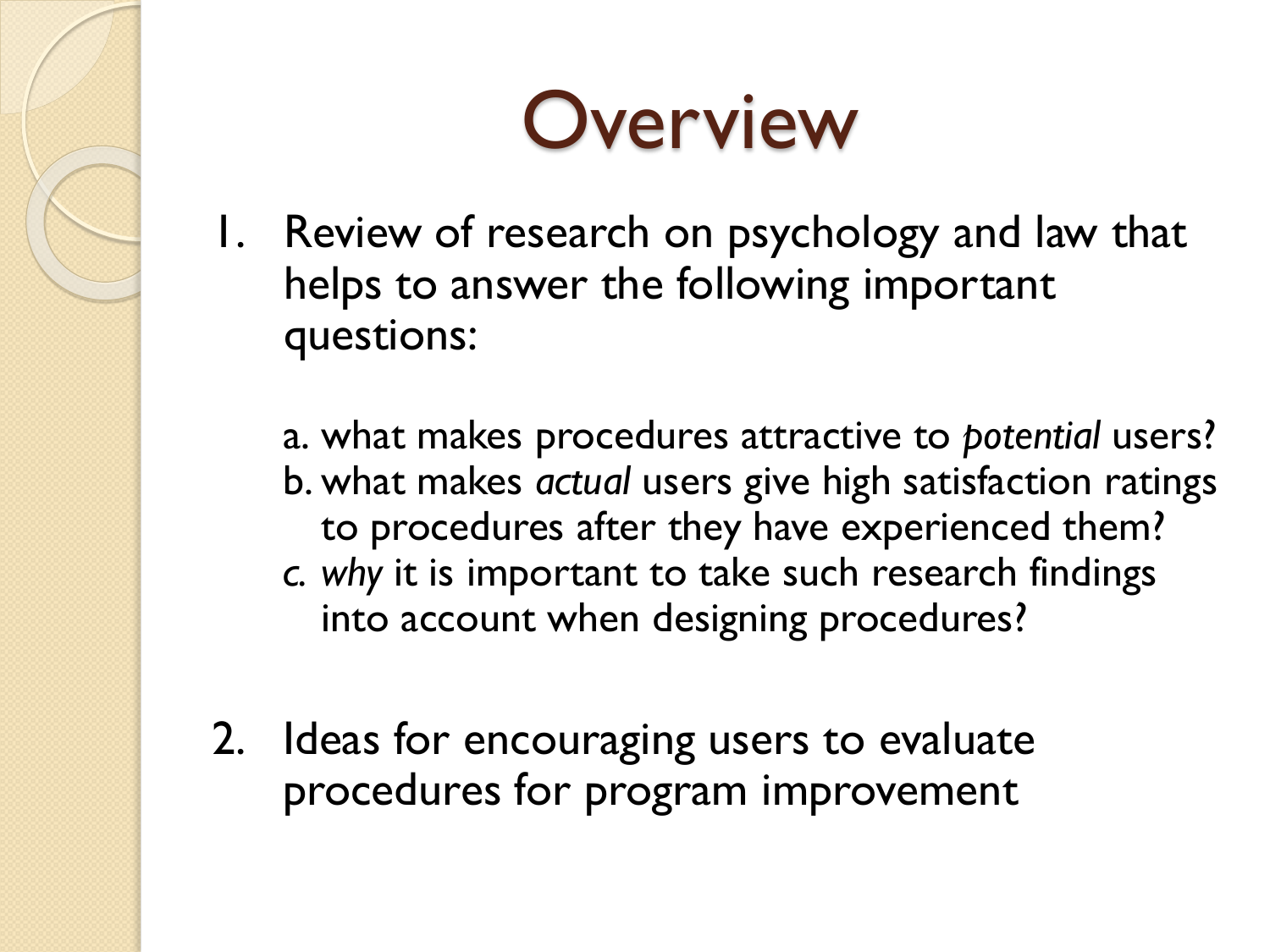### **Overview**

1. Review of research on psychology and law that helps to answer the following important questions:

a. what makes procedures attractive to *potential* users? b. what makes *actual* users give high satisfaction ratings to procedures after they have experienced them?

- *c. why* it is important to take such research findings into account when designing procedures?
- 2. Ideas for encouraging users to evaluate procedures for program improvement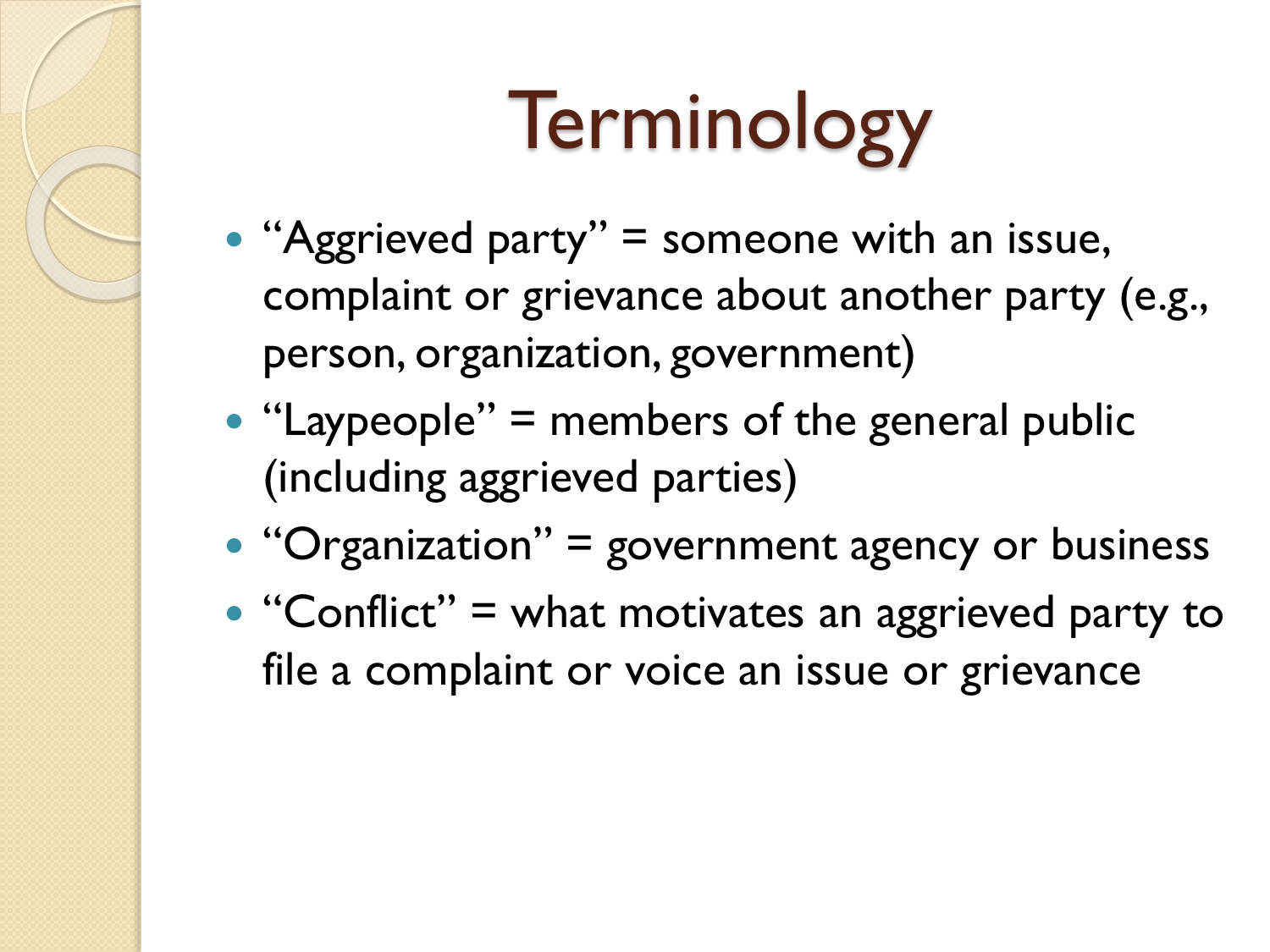# **Terminology**

- "Aggrieved party" = someone with an issue, complaint or grievance about another party (e.g., person, organization, government)
- "Laypeople" = members of the general public (including aggrieved parties)
- $\bullet$  "Organization" = government agency or business
- $\bullet$  "Conflict" = what motivates an aggrieved party to file a complaint or voice an issue or grievance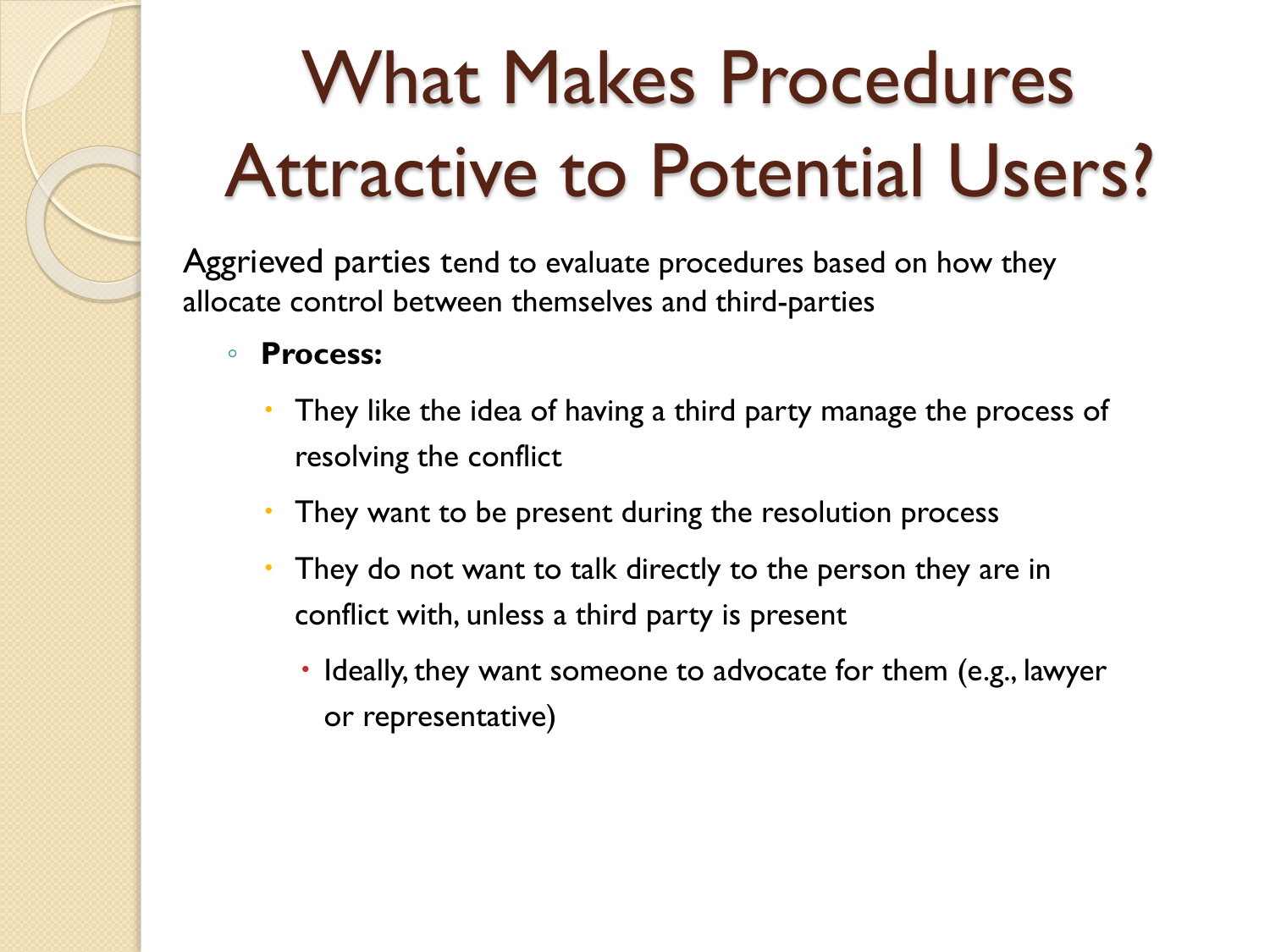## What Makes Procedures Attractive to Potential Users?

Aggrieved parties tend to evaluate procedures based on how they allocate control between themselves and third-parties

- **Process:** 
	- They like the idea of having a third party manage the process of resolving the conflict
	- They want to be present during the resolution process
	- They do not want to talk directly to the person they are in conflict with, unless a third party is present
		- Ideally, they want someone to advocate for them (e.g., lawyer or representative)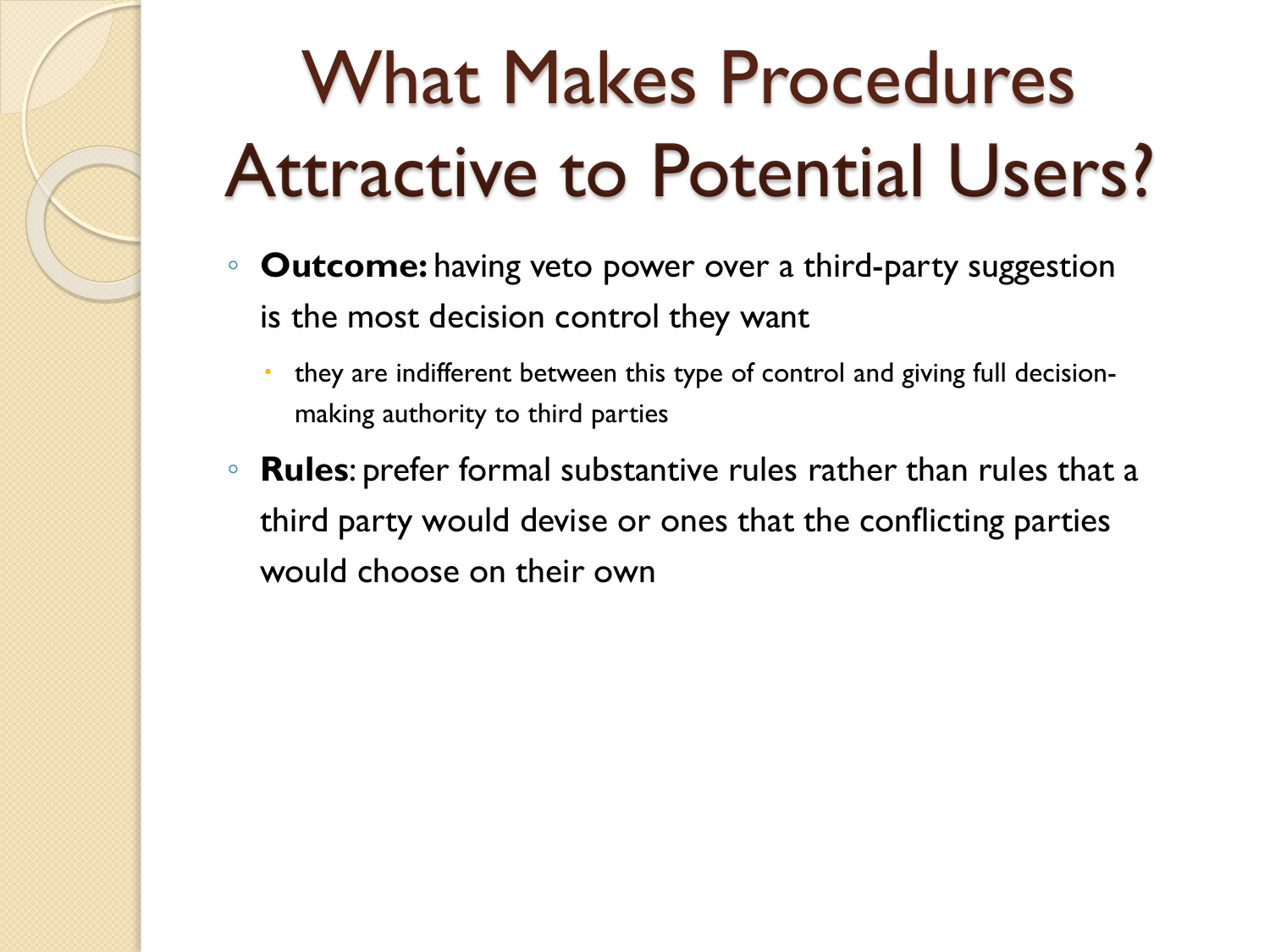## What Makes Procedures Attractive to Potential Users?

- **Outcome:** having veto power over a third-party suggestion is the most decision control they want
	- they are indifferent between this type of control and giving full decisionmaking authority to third parties
- **Rules**: prefer formal substantive rules rather than rules that a third party would devise or ones that the conflicting parties would choose on their own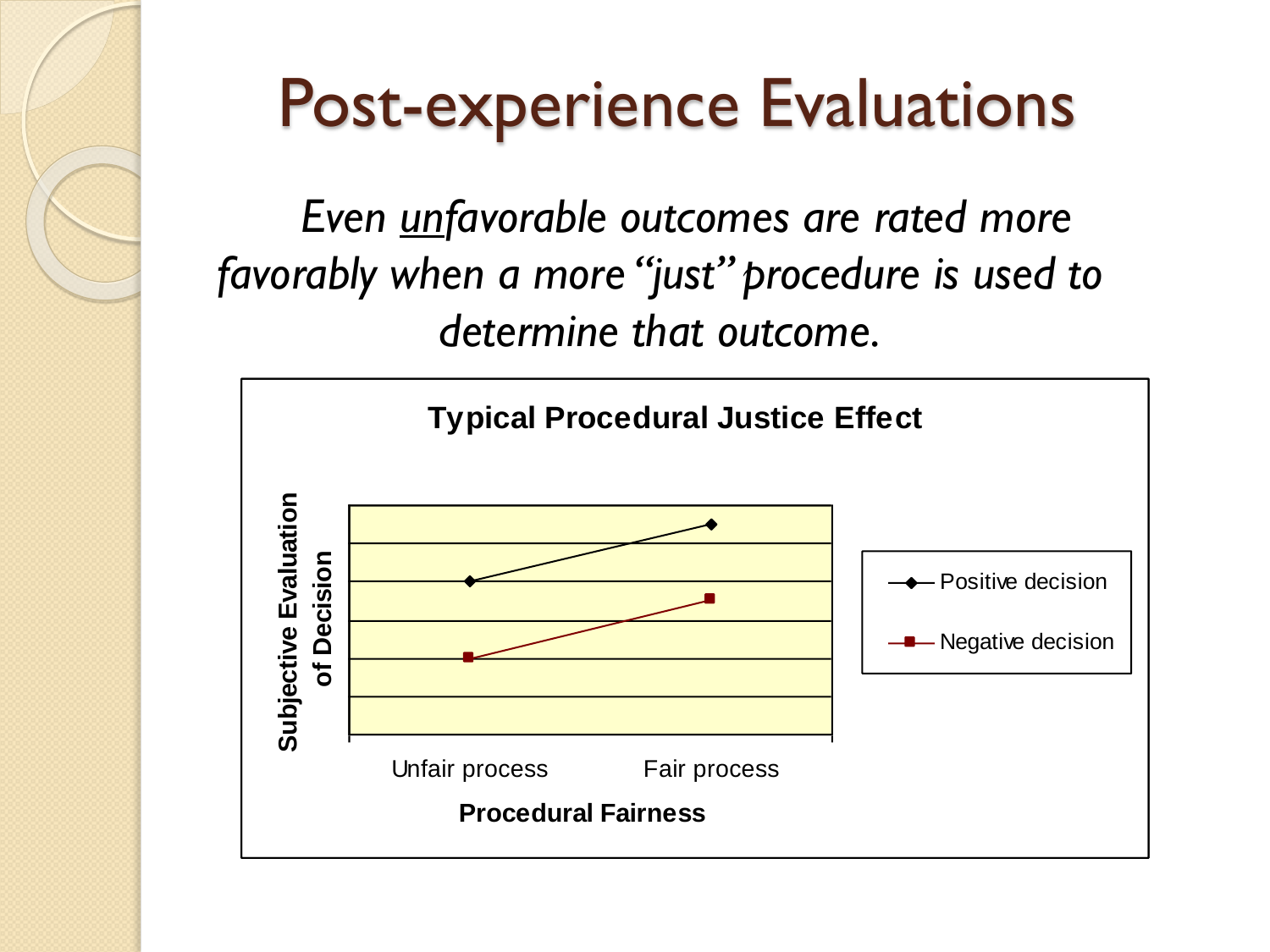#### Post-experience Evaluations

*Even unfavorable outcomes are rated more favorably when a more "just" procedure is used to determine that outcome.*

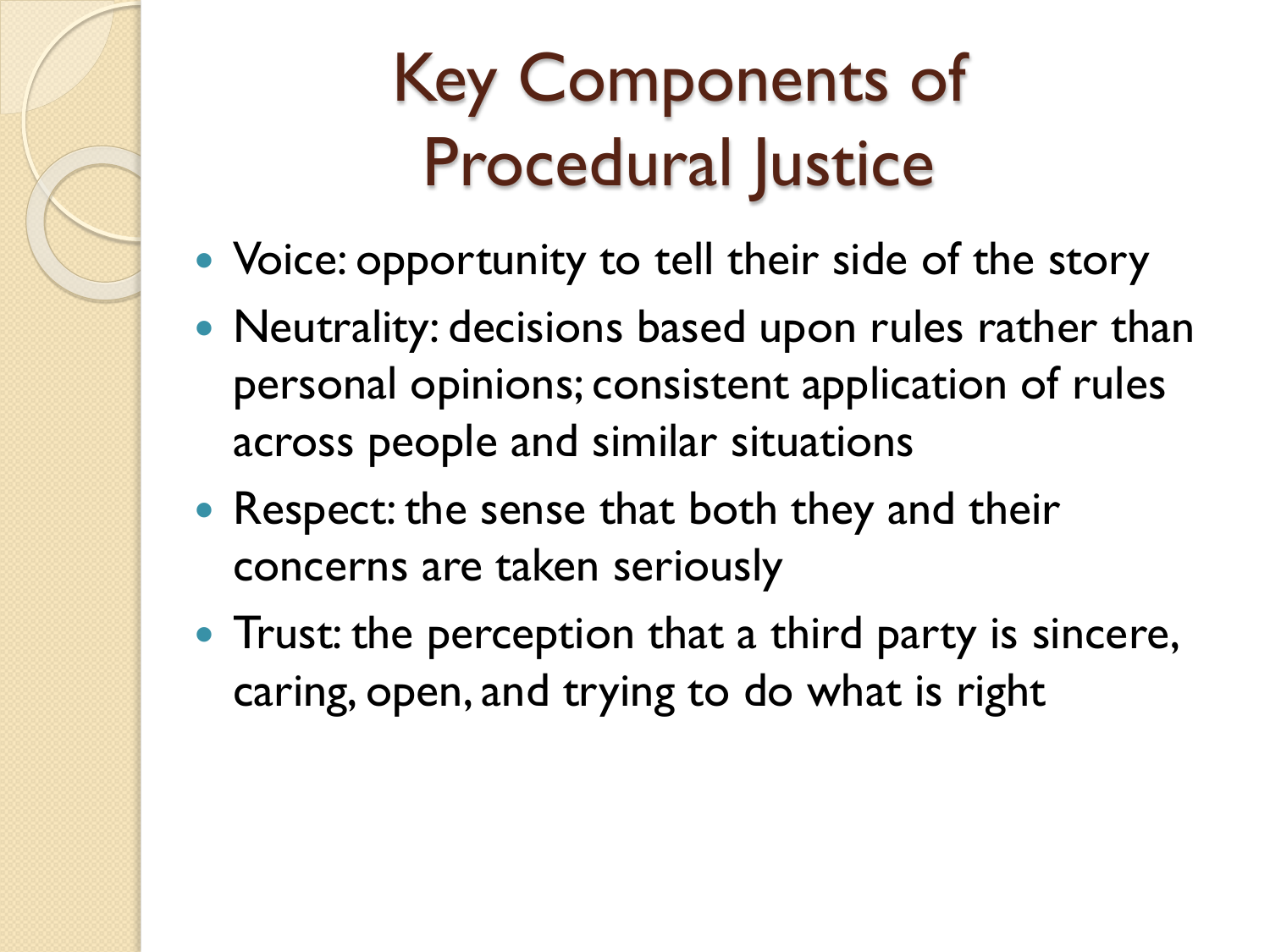#### Key Components of Procedural Justice

- Voice: opportunity to tell their side of the story
- Neutrality: decisions based upon rules rather than personal opinions; consistent application of rules across people and similar situations
- Respect: the sense that both they and their concerns are taken seriously
- Trust: the perception that a third party is sincere, caring, open, and trying to do what is right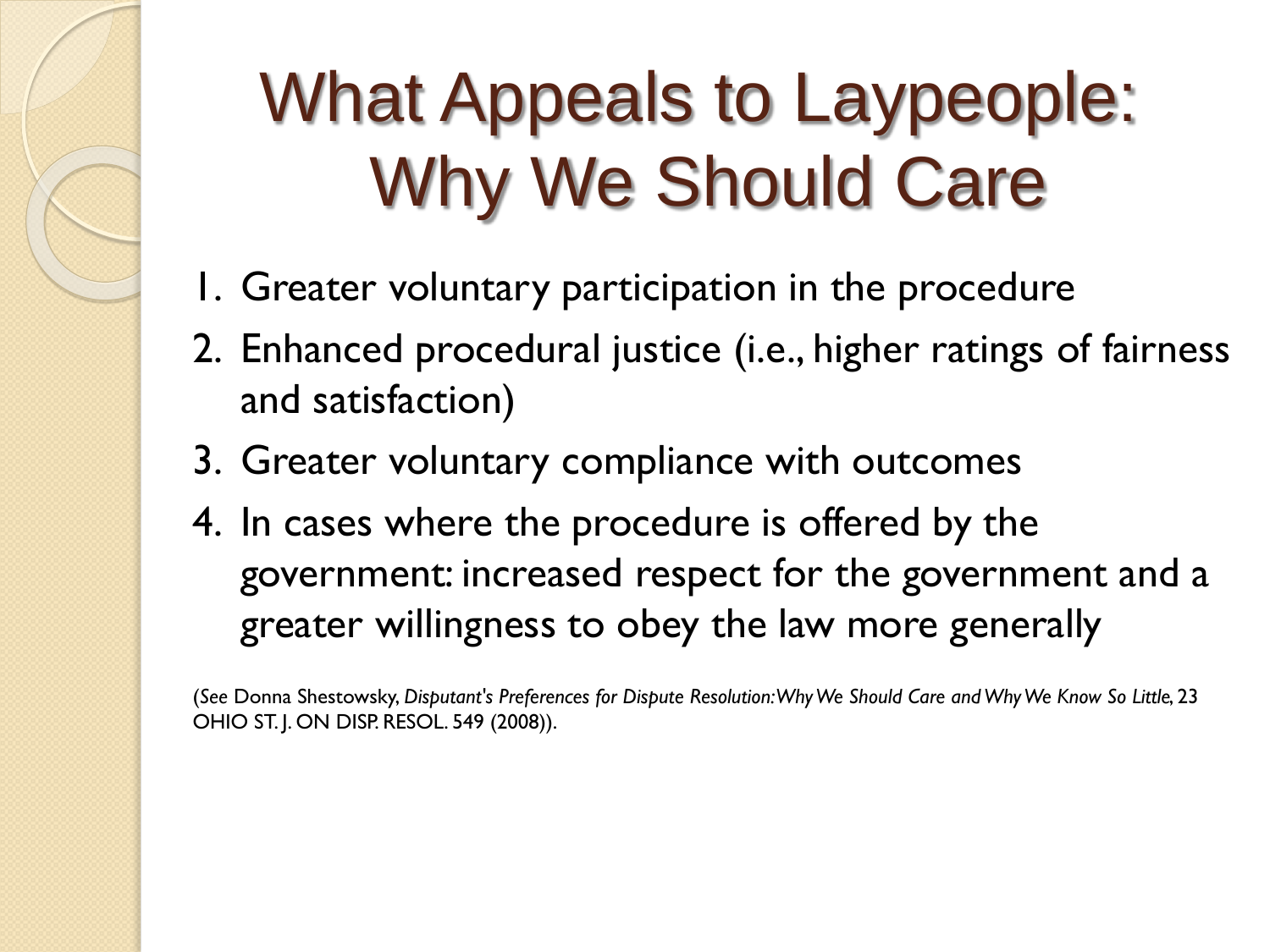#### What Appeals to Laypeople: Why We Should Care

- 1. Greater voluntary participation in the procedure
- 2. Enhanced procedural justice (i.e., higher ratings of fairness and satisfaction)
- 3. Greater voluntary compliance with outcomes
- 4. In cases where the procedure is offered by the government: increased respect for the government and a greater willingness to obey the law more generally

(*See* Donna Shestowsky, *Disputant's Preferences for Dispute Resolution: Why We Should Care and Why We Know So Little*, 23 OHIO ST. J. ON DISP. RESOL. 549 (2008)).